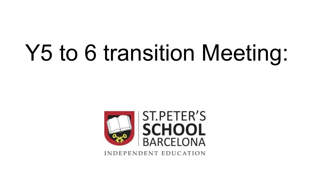# Y5 to 6 transition Meeting:



INDEPENDENT EDUCATION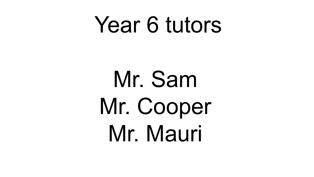# Year 6 tutors

Mr. Sam Mr. Cooper Mr. Mauri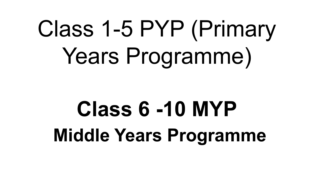# Class 1-5 PYP (Primary Years Programme)

# **Class 6 -10 MYP Middle Years Programme**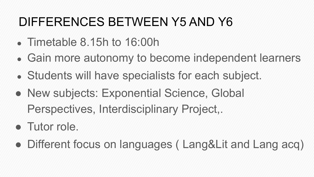# DIFFERENCES BETWEEN Y5 AND Y6

- Timetable  $8.15h$  to  $16:00h$
- Gain more autonomy to become independent learners
- Students will have specialists for each subject.
- New subjects: Exponential Science, Global Perspectives, Interdisciplinary Project,.
- Tutor role.
- Different focus on languages (Lang&Lit and Lang acq)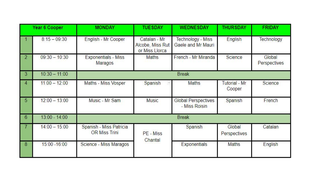|                | Year 6 Cooper   | <b>MONDAY</b>                                   | <b>TUESDAY</b>                                     | <b>WEDNESDAY</b>                            | <b>THURSDAY</b>                | <b>FRIDAY</b>          |
|----------------|-----------------|-------------------------------------------------|----------------------------------------------------|---------------------------------------------|--------------------------------|------------------------|
|                | $8:15 - 09:30$  | English - Mr Cooper                             | Catalan - Mr<br>Alcobe, Miss Rut<br>or Miss Llorca | Technology - Miss<br>Gaele and Mr Mauri     | English                        | Technology             |
| $\overline{2}$ | $09:30 - 10:30$ | <b>Exponentials - Miss</b><br>Maragos           | Maths                                              | French - Mr Miranda                         | Science                        | Global<br>Perspectives |
| 3              | $10:30 - 11:00$ | <b>Break</b>                                    |                                                    |                                             |                                |                        |
| 4              | $11:00 - 12:00$ | Maths - Miss Vosper                             | Spanish                                            | Maths                                       | <b>Tutorial - Mr</b><br>Cooper | Science                |
| 5              | $12:00 - 13:00$ | Music - Mr Sam                                  | <b>Music</b>                                       | <b>Global Perspectives</b><br>- Miss Roisin | Spanish                        | French                 |
| 6              | 13:00 - 14:00   | <b>Break</b>                                    |                                                    |                                             |                                |                        |
| $\overline{7}$ | $14:00 - 15:00$ | Spanish - Miss Patricia<br><b>OR Miss Trini</b> | PE - Miss<br>Chantal                               | Spanish                                     | Global<br>Perspectives         | Catalan                |
| 8              | $15:00 - 16:00$ | Science - Miss Maragos                          |                                                    | <b>Exponentials</b>                         | Maths                          | English                |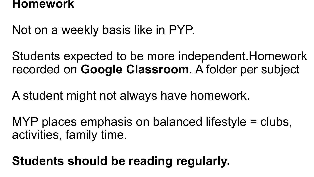#### **Homework**

Not on a weekly basis like in PYP.

Students expected to be more independent.Homework recorded on **Google Classroom**. A folder per subject

A student might not always have homework.

MYP places emphasis on balanced lifestyle = clubs, activities, family time.

**Students should be reading regularly.**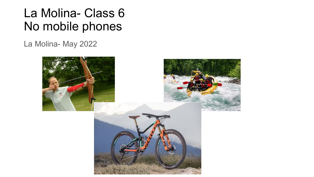## La Molina- Class 6 No mobile phones

La Molina- May 2022

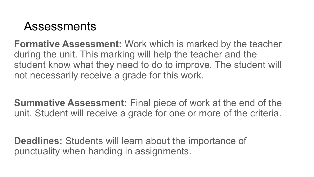### **Assessments**

**Formative Assessment:** Work which is marked by the teacher during the unit. This marking will help the teacher and the student know what they need to do to improve. The student will not necessarily receive a grade for this work.

**Summative Assessment:** Final piece of work at the end of the unit. Student will receive a grade for one or more of the criteria.

**Deadlines:** Students will learn about the importance of punctuality when handing in assignments.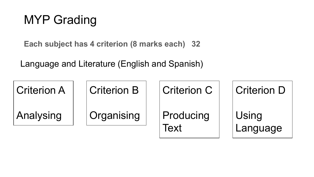# MYP Grading

**Each subject has 4 criterion (8 marks each) 32**

Language and Literature (English and Spanish)

| <b>Criterion A</b> | <b>Criterion B</b> | <b>Criterion C</b> | <b>Criterion D</b> |
|--------------------|--------------------|--------------------|--------------------|
| Analysing          | Organising         | Producing          | Using              |
|                    |                    | Text               | Language           |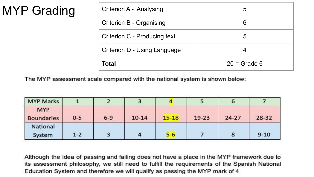# MYP Grading

| Criterion A - Analysing      | 5              |
|------------------------------|----------------|
| Criterion B - Organising     | 6              |
| Criterion C - Producing text | 5              |
| Criterion D - Using Language |                |
| Total                        | $20 =$ Grade 6 |

The MYP assessment scale compared with the national system is shown below:

| <b>MYP Marks</b>                |         | 2       |           |           |           | $\bullet$ |           |
|---------------------------------|---------|---------|-----------|-----------|-----------|-----------|-----------|
| <b>MYP</b><br><b>Boundaries</b> | $0 - 5$ | $6 - 9$ | $10 - 14$ | $15 - 18$ | $19 - 23$ | $24 - 27$ | $28 - 32$ |
| National<br>System              | $1 - 2$ | 3       |           | $5 - 6$   |           |           | $9 - 10$  |

Although the idea of passing and failing does not have a place in the MYP framework due to its assessment philosophy, we still need to fulfill the requirements of the Spanish National Education System and therefore we will qualify as passing the MYP mark of 4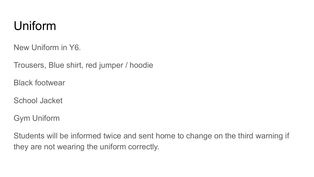## Uniform

New Uniform in Y6.

Trousers, Blue shirt, red jumper / hoodie

Black footwear

School Jacket

Gym Uniform

Students will be informed twice and sent home to change on the third warning if they are not wearing the uniform correctly.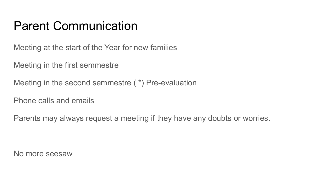## Parent Communication

Meeting at the start of the Year for new families

Meeting in the first semmestre

```
Meeting in the second semmestre ( *) Pre-evaluation
```
Phone calls and emails

Parents may always request a meeting if they have any doubts or worries.

No more seesaw